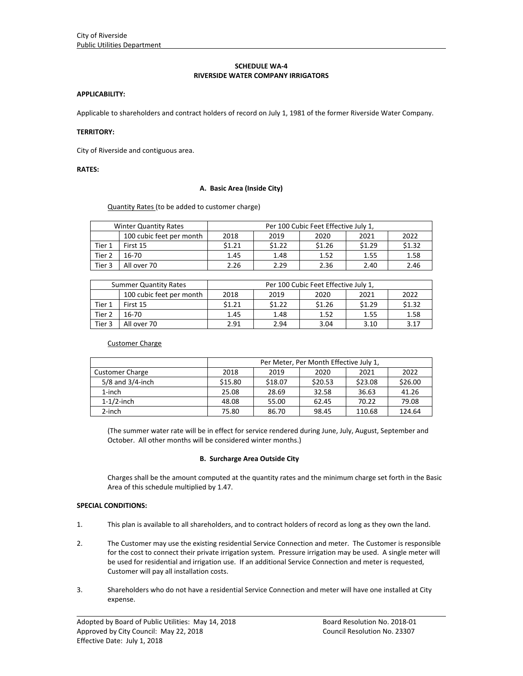# **SCHEDULE WA‐4 RIVERSIDE WATER COMPANY IRRIGATORS**

### **APPLICABILITY:**

Applicable to shareholders and contract holders of record on July 1, 1981 of the former Riverside Water Company.

# **TERRITORY:**

City of Riverside and contiguous area.

# **RATES:**

### **A. Basic Area (Inside City)**

Quantity Rates (to be added to customer charge)

| <b>Winter Quantity Rates</b> |                          | Per 100 Cubic Feet Effective July 1, |        |        |        |        |  |
|------------------------------|--------------------------|--------------------------------------|--------|--------|--------|--------|--|
|                              | 100 cubic feet per month | 2018                                 | 2019   | 2020   | 2021   | 2022   |  |
| Tier 1                       | First 15                 | \$1.21                               | \$1.22 | \$1.26 | \$1.29 | \$1.32 |  |
| Tier 2                       | 16-70                    | 1.45                                 | 1.48   | 1.52   | 1.55   | 1.58   |  |
| Tier 3                       | All over 70              | 2.26                                 | 2.29   | 2.36   | 2.40   | 2.46   |  |

| <b>Summer Quantity Rates</b> |                          | Per 100 Cubic Feet Effective July 1, |        |        |        |        |  |
|------------------------------|--------------------------|--------------------------------------|--------|--------|--------|--------|--|
|                              | 100 cubic feet per month | 2018                                 | 2019   | 2020   | 2021   | 2022   |  |
| Tier 1                       | First 15                 | \$1.21                               | \$1.22 | \$1.26 | \$1.29 | \$1.32 |  |
| Tier 2                       | 16-70                    | 1.45                                 | 1.48   | 1.52   | 1.55   | 1.58   |  |
| Tier 3                       | All over 70              | 2.91                                 | 2.94   | 3.04   | 3.10   | 3.17   |  |

### Customer Charge

|                        | Per Meter, Per Month Effective July 1, |         |         |         |         |
|------------------------|----------------------------------------|---------|---------|---------|---------|
| <b>Customer Charge</b> | 2018                                   | 2019    | 2020    | 2021    | 2022    |
| $5/8$ and $3/4$ -inch  | \$15.80                                | \$18.07 | \$20.53 | \$23.08 | \$26.00 |
| $1$ -inch              | 25.08                                  | 28.69   | 32.58   | 36.63   | 41.26   |
| $1-1/2$ -inch          | 48.08                                  | 55.00   | 62.45   | 70.22   | 79.08   |
| 2-inch                 | 75.80                                  | 86.70   | 98.45   | 110.68  | 124.64  |

(The summer water rate will be in effect for service rendered during June, July, August, September and October. All other months will be considered winter months.)

### **B. Surcharge Area Outside City**

Charges shall be the amount computed at the quantity rates and the minimum charge set forth in the Basic Area of this schedule multiplied by 1.47.

#### **SPECIAL CONDITIONS:**

- 1. This plan is available to all shareholders, and to contract holders of record as long as they own the land.
- 2. The Customer may use the existing residential Service Connection and meter. The Customer is responsible for the cost to connect their private irrigation system. Pressure irrigation may be used. A single meter will be used for residential and irrigation use. If an additional Service Connection and meter is requested, Customer will pay all installation costs.
- 3. Shareholders who do not have a residential Service Connection and meter will have one installed at City expense.

<u> 1989 - Johann Stoff, amerikansk politiker (d. 1989)</u>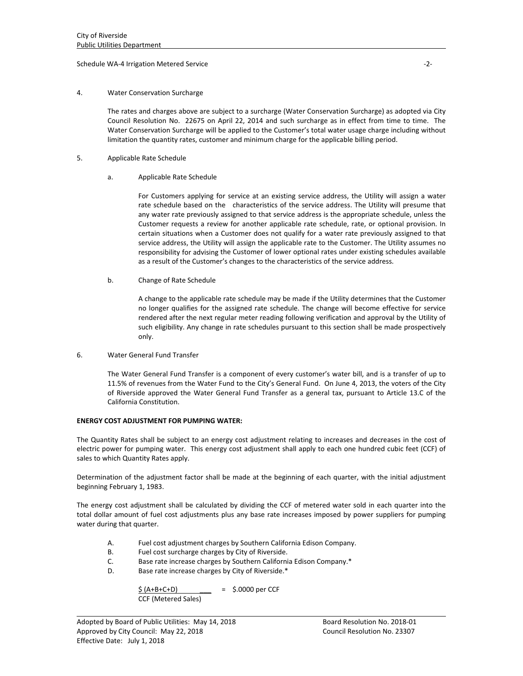### Schedule WA‐4 Irrigation Metered Service ‐2‐

# 4. Water Conservation Surcharge

The rates and charges above are subject to a surcharge (Water Conservation Surcharge) as adopted via City Council Resolution No. 22675 on April 22, 2014 and such surcharge as in effect from time to time. The Water Conservation Surcharge will be applied to the Customer's total water usage charge including without limitation the quantity rates, customer and minimum charge for the applicable billing period.

- 5. Applicable Rate Schedule
	- a. Applicable Rate Schedule

For Customers applying for service at an existing service address, the Utility will assign a water rate schedule based on the characteristics of the service address. The Utility will presume that any water rate previously assigned to that service address is the appropriate schedule, unless the Customer requests a review for another applicable rate schedule, rate, or optional provision. In certain situations when a Customer does not qualify for a water rate previously assigned to that service address, the Utility will assign the applicable rate to the Customer. The Utility assumes no responsibility for advising the Customer of lower optional rates under existing schedules available as a result of the Customer's changes to the characteristics of the service address.

b. Change of Rate Schedule

A change to the applicable rate schedule may be made if the Utility determines that the Customer no longer qualifies for the assigned rate schedule. The change will become effective for service rendered after the next regular meter reading following verification and approval by the Utility of such eligibility. Any change in rate schedules pursuant to this section shall be made prospectively only.

6. Water General Fund Transfer

The Water General Fund Transfer is a component of every customer's water bill, and is a transfer of up to 11.5% of revenues from the Water Fund to the City's General Fund. On June 4, 2013, the voters of the City of Riverside approved the Water General Fund Transfer as a general tax, pursuant to Article 13.C of the California Constitution.

#### **ENERGY COST ADJUSTMENT FOR PUMPING WATER:**

The Quantity Rates shall be subject to an energy cost adjustment relating to increases and decreases in the cost of electric power for pumping water. This energy cost adjustment shall apply to each one hundred cubic feet (CCF) of sales to which Quantity Rates apply.

Determination of the adjustment factor shall be made at the beginning of each quarter, with the initial adjustment beginning February 1, 1983.

The energy cost adjustment shall be calculated by dividing the CCF of metered water sold in each quarter into the total dollar amount of fuel cost adjustments plus any base rate increases imposed by power suppliers for pumping water during that quarter.

<u> 1989 - Johann Stoff, amerikansk politiker (d. 1989)</u>

- A. Fuel cost adjustment charges by Southern California Edison Company.
- B. Fuel cost surcharge charges by City of Riverside.
- C. Base rate increase charges by Southern California Edison Company.\*
- D. Base rate increase charges by City of Riverside.\*

 $$ (A+B+C+D) = $.0000 \text{ per CCF}$ CCF (Metered Sales)